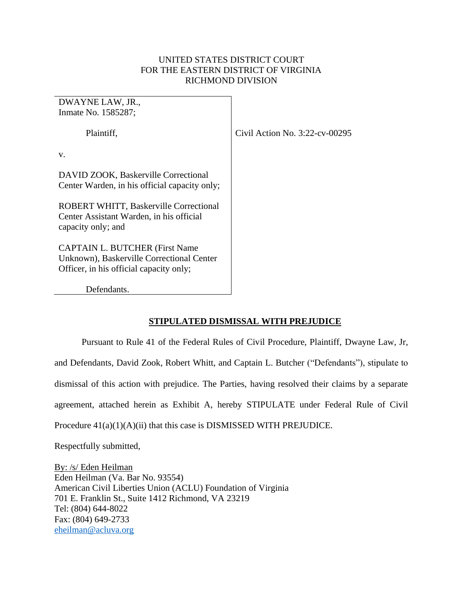## UNITED STATES DISTRICT COURT FOR THE EASTERN DISTRICT OF VIRGINIA RICHMOND DIVISION

DWAYNE LAW, JR., Inmate No. 1585287;

Plaintiff,

Civil Action No. 3:22-cv-00295

v.

DAVID ZOOK, Baskerville Correctional Center Warden, in his official capacity only;

ROBERT WHITT, Baskerville Correctional Center Assistant Warden, in his official capacity only; and

CAPTAIN L. BUTCHER (First Name Unknown), Baskerville Correctional Center Officer, in his official capacity only;

Defendants.

## **STIPULATED DISMISSAL WITH PREJUDICE**

Pursuant to Rule 41 of the Federal Rules of Civil Procedure, Plaintiff, Dwayne Law, Jr, and Defendants, David Zook, Robert Whitt, and Captain L. Butcher ("Defendants"), stipulate to dismissal of this action with prejudice. The Parties, having resolved their claims by a separate agreement, attached herein as Exhibit A, hereby STIPULATE under Federal Rule of Civil Procedure 41(a)(1)(A)(ii) that this case is DISMISSED WITH PREJUDICE.

Respectfully submitted,

By: /s/ Eden Heilman Eden Heilman (Va. Bar No. 93554) American Civil Liberties Union (ACLU) Foundation of Virginia 701 E. Franklin St., Suite 1412 Richmond, VA 23219 Tel: (804) 644-8022 Fax: (804) 649-2733 [eheilman@acluva.org](mailto:eheilman@acluva.org)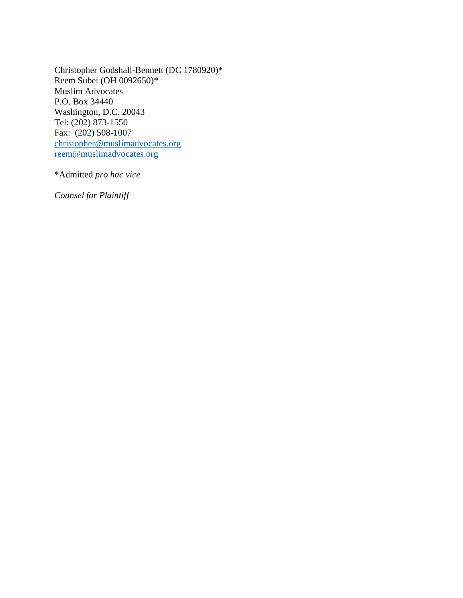Christopher Godshall-Bennett (DC 1780920)\* Reem Subei (OH 0092650)\* Muslim Advocates P.O. Box 34440 Washington, D.C. 20043 Tel: (202) 873-1550 Fax: (202) 508-1007 [christopher@muslimadvocates.org](mailto:christopher@muslimadvocates.org) [reem@muslimadvocates.org](mailto:reem@muslimadvocates.org)

\*Admitted *pro hac vice*

*Counsel for Plaintiff*